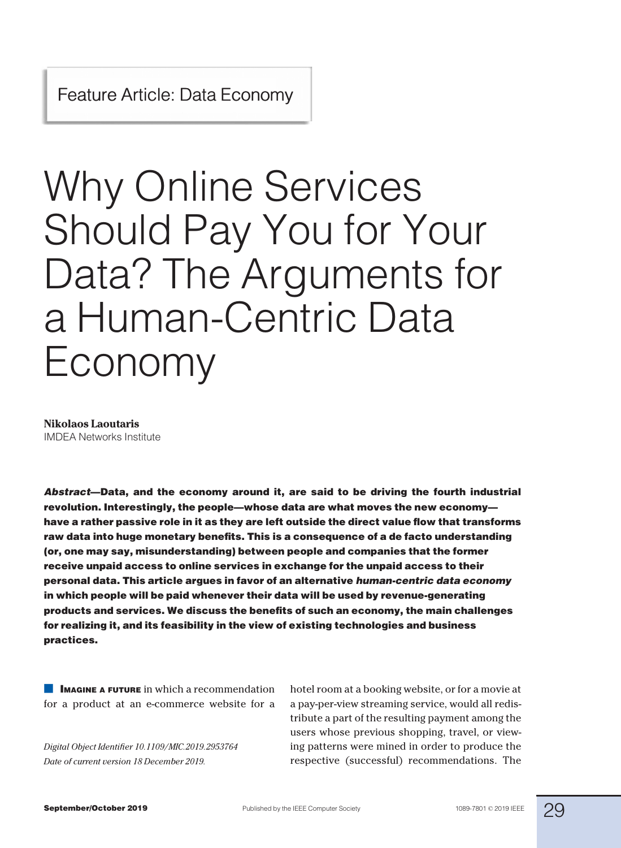# Why Online Services Should Pay You for Your Data? The Arguments for a Human-Centric Data Economy

Nikolaos Laoutaris IMDEA Networks Institute

Abstract—Data, and the economy around it, are said to be driving the fourth industrial revolution. Interestingly, the people—whose data are what moves the new economy have a rather passive role in it as they are left outside the direct value flow that transforms raw data into huge monetary benefits. This is a consequence of a de facto understanding (or, one may say, misunderstanding) between people and companies that the former receive unpaid access to online services in exchange for the unpaid access to their personal data. This article argues in favor of an alternative human-centric data economy in which people will be paid whenever their data will be used by revenue-generating products and services. We discuss the benefits of such an economy, the main challenges for realizing it, and its feasibility in the view of existing technologies and business practices.

**IMAGINE A FUTURE** in which a recommendation for a product at an e-commerce website for a

Digital Object Identifier 10.1109/MIC.2019.2953764 Date of current version 18 December 2019.

hotel room at a booking website, or for a movie at a pay-per-view streaming service, would all redistribute a part of the resulting payment among the users whose previous shopping, travel, or viewing patterns were mined in order to produce the respective (successful) recommendations. The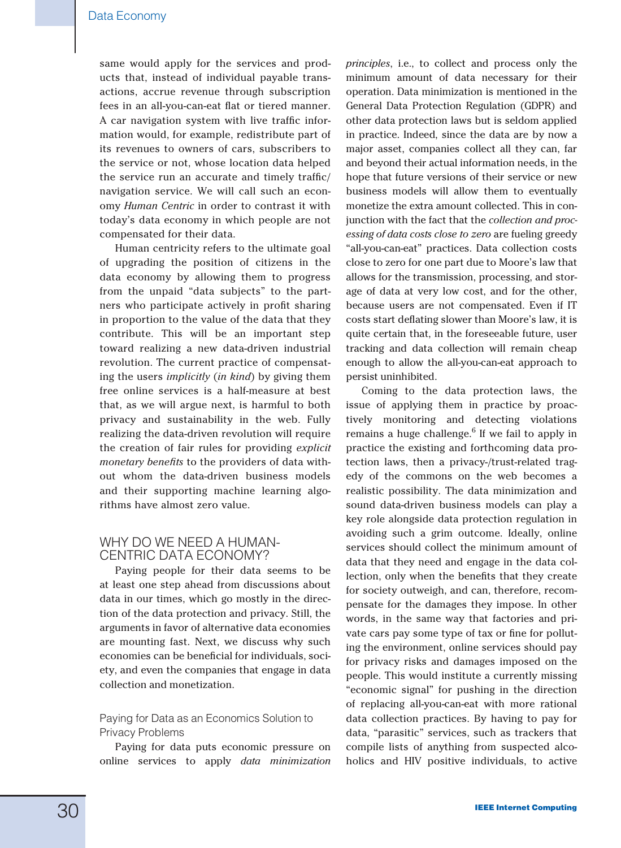same would apply for the services and products that, instead of individual payable transactions, accrue revenue through subscription fees in an all-you-can-eat flat or tiered manner. A car navigation system with live traffic information would, for example, redistribute part of its revenues to owners of cars, subscribers to the service or not, whose location data helped the service run an accurate and timely traffic/ navigation service. We will call such an economy Human Centric in order to contrast it with today's data economy in which people are not compensated for their data.

Human centricity refers to the ultimate goal of upgrading the position of citizens in the data economy by allowing them to progress from the unpaid "data subjects" to the partners who participate actively in profit sharing in proportion to the value of the data that they contribute. This will be an important step toward realizing a new data-driven industrial revolution. The current practice of compensating the users implicitly (in kind) by giving them free online services is a half-measure at best that, as we will argue next, is harmful to both privacy and sustainability in the web. Fully realizing the data-driven revolution will require the creation of fair rules for providing explicit monetary benefits to the providers of data without whom the data-driven business models and their supporting machine learning algorithms have almost zero value.

## WHY DO WE NEED A HUMAN-CENTRIC DATA ECONOMY?

Paying people for their data seems to be at least one step ahead from discussions about data in our times, which go mostly in the direction of the data protection and privacy. Still, the arguments in favor of alternative data economies are mounting fast. Next, we discuss why such economies can be beneficial for individuals, society, and even the companies that engage in data collection and monetization.

## Paying for Data as an Economics Solution to Privacy Problems

Paying for data puts economic pressure on online services to apply data minimization

principles, i.e., to collect and process only the minimum amount of data necessary for their operation. Data minimization is mentioned in the General Data Protection Regulation (GDPR) and other data protection laws but is seldom applied in practice. Indeed, since the data are by now a major asset, companies collect all they can, far and beyond their actual information needs, in the hope that future versions of their service or new business models will allow them to eventually monetize the extra amount collected. This in conjunction with the fact that the *collection and proc*essing of data costs close to zero are fueling greedy "all-you-can-eat" practices. Data collection costs close to zero for one part due to Moore's law that allows for the transmission, processing, and storage of data at very low cost, and for the other, because users are not compensated. Even if IT costs start deflating slower than Moore's law, it is quite certain that, in the foreseeable future, user tracking and data collection will remain cheap enough to allow the all-you-can-eat approach to persist uninhibited.

Coming to the data protection laws, the issue of applying them in practice by proactively monitoring and detecting violations remains a huge challenge. $6$  If we fail to apply in practice the existing and forthcoming data protection laws, then a privacy-/trust-related tragedy of the commons on the web becomes a realistic possibility. The data minimization and sound data-driven business models can play a key role alongside data protection regulation in avoiding such a grim outcome. Ideally, online services should collect the minimum amount of data that they need and engage in the data collection, only when the benefits that they create for society outweigh, and can, therefore, recompensate for the damages they impose. In other words, in the same way that factories and private cars pay some type of tax or fine for polluting the environment, online services should pay for privacy risks and damages imposed on the people. This would institute a currently missing "economic signal" for pushing in the direction of replacing all-you-can-eat with more rational data collection practices. By having to pay for data, "parasitic" services, such as trackers that compile lists of anything from suspected alcoholics and HIV positive individuals, to active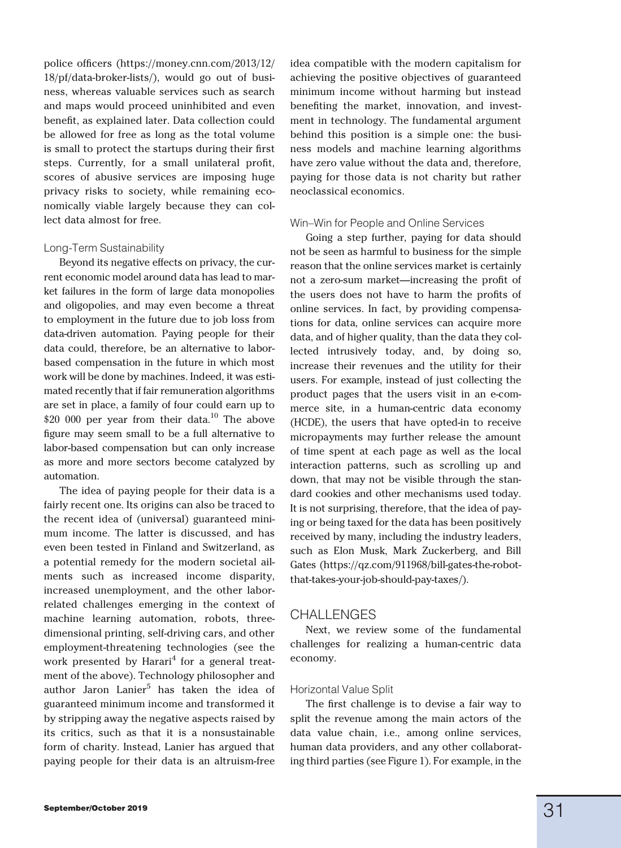police officers [\(https://money.cnn.com/2013/12/](https://money.cnn.com/2013/12/18/pf/data-broker-lists/) [18/pf/data-broker-lists/](https://money.cnn.com/2013/12/18/pf/data-broker-lists/)), would go out of business, whereas valuable services such as search and maps would proceed uninhibited and even benefit, as explained later. Data collection could be allowed for free as long as the total volume is small to protect the startups during their first steps. Currently, for a small unilateral profit, scores of abusive services are imposing huge privacy risks to society, while remaining economically viable largely because they can collect data almost for free.

#### Long-Term Sustainability

Beyond its negative effects on privacy, the current economic model around data has lead to market failures in the form of large data monopolies and oligopolies, and may even become a threat to employment in the future due to job loss from data-driven automation. Paying people for their data could, therefore, be an alternative to laborbased compensation in the future in which most work will be done by machines. Indeed, it was estimated recently that if fair remuneration algorithms are set in place, a family of four could earn up to \$20 000 per year from their data.<sup>10</sup> The above figure may seem small to be a full alternative to labor-based compensation but can only increase as more and more sectors become catalyzed by automation.

The idea of paying people for their data is a fairly recent one. Its origins can also be traced to the recent idea of (universal) guaranteed minimum income. The latter is discussed, and has even been tested in Finland and Switzerland, as a potential remedy for the modern societal ailments such as increased income disparity, increased unemployment, and the other laborrelated challenges emerging in the context of machine learning automation, robots, threedimensional printing, self-driving cars, and other employment-threatening technologies (see the work presented by Harari<sup>4</sup> for a general treatment of the above). Technology philosopher and author Jaron Lanier<sup>5</sup> has taken the idea of guaranteed minimum income and transformed it by stripping away the negative aspects raised by its critics, such as that it is a nonsustainable form of charity. Instead, Lanier has argued that paying people for their data is an altruism-free idea compatible with the modern capitalism for achieving the positive objectives of guaranteed minimum income without harming but instead benefiting the market, innovation, and investment in technology. The fundamental argument behind this position is a simple one: the business models and machine learning algorithms have zero value without the data and, therefore, paying for those data is not charity but rather neoclassical economics.

#### Win–Win for People and Online Services

Going a step further, paying for data should not be seen as harmful to business for the simple reason that the online services market is certainly not a zero-sum market—increasing the profit of the users does not have to harm the profits of online services. In fact, by providing compensations for data, online services can acquire more data, and of higher quality, than the data they collected intrusively today, and, by doing so, increase their revenues and the utility for their users. For example, instead of just collecting the product pages that the users visit in an e-commerce site, in a human-centric data economy (HCDE), the users that have opted-in to receive micropayments may further release the amount of time spent at each page as well as the local interaction patterns, such as scrolling up and down, that may not be visible through the standard cookies and other mechanisms used today. It is not surprising, therefore, that the idea of paying or being taxed for the data has been positively received by many, including the industry leaders, such as Elon Musk, Mark Zuckerberg, and Bill Gates [\(https://qz.com/911968/bill-gates-the-robot](https://qz.com/911968/bill-gates-the-robot-that-takes-your-job-should-pay-taxes/)[that-takes-your-job-should-pay-taxes/\)](https://qz.com/911968/bill-gates-the-robot-that-takes-your-job-should-pay-taxes/).

## CHALLENGES

Next, we review some of the fundamental challenges for realizing a human-centric data economy.

#### Horizontal Value Split

The first challenge is to devise a fair way to split the revenue among the main actors of the data value chain, i.e., among online services, human data providers, and any other collaborating third parties (see Figure 1). For example, in the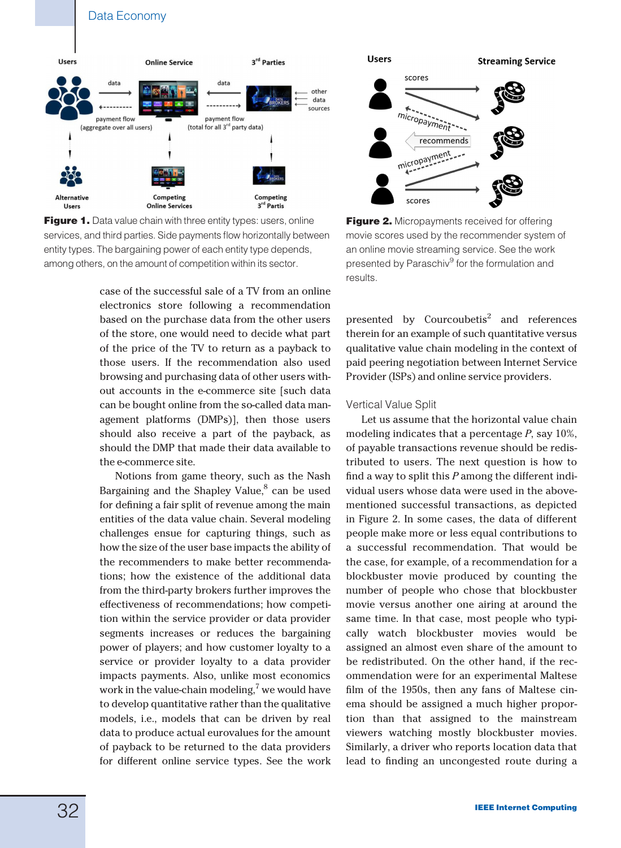Data Economy



**Figure 1.** Data value chain with three entity types: users, online services, and third parties. Side payments flow horizontally between entity types. The bargaining power of each entity type depends, among others, on the amount of competition within its sector.

case of the successful sale of a TV from an online electronics store following a recommendation based on the purchase data from the other users of the store, one would need to decide what part of the price of the TV to return as a payback to those users. If the recommendation also used browsing and purchasing data of other users without accounts in the e-commerce site [such data can be bought online from the so-called data management platforms (DMPs)], then those users should also receive a part of the payback, as should the DMP that made their data available to the e-commerce site.

Notions from game theory, such as the Nash Bargaining and the Shapley Value, $8$  can be used for defining a fair split of revenue among the main entities of the data value chain. Several modeling challenges ensue for capturing things, such as how the size of the user base impacts the ability of the recommenders to make better recommendations; how the existence of the additional data from the third-party brokers further improves the effectiveness of recommendations; how competition within the service provider or data provider segments increases or reduces the bargaining power of players; and how customer loyalty to a service or provider loyalty to a data provider impacts payments. Also, unlike most economics work in the value-chain modeling, $7$  we would have to develop quantitative rather than the qualitative models, i.e., models that can be driven by real data to produce actual eurovalues for the amount of payback to be returned to the data providers for different online service types. See the work



Figure 2. Micropayments received for offering movie scores used by the recommender system of an online movie streaming service. See the work presented by Paraschiv<sup>9</sup> for the formulation and results.

presented by  $Counteris<sup>2</sup>$  and references therein for an example of such quantitative versus qualitative value chain modeling in the context of paid peering negotiation between Internet Service Provider (ISPs) and online service providers.

#### Vertical Value Split

Let us assume that the horizontal value chain modeling indicates that a percentage P, say 10%, of payable transactions revenue should be redistributed to users. The next question is how to find a way to split this  $P$  among the different individual users whose data were used in the abovementioned successful transactions, as depicted in Figure 2. In some cases, the data of different people make more or less equal contributions to a successful recommendation. That would be the case, for example, of a recommendation for a blockbuster movie produced by counting the number of people who chose that blockbuster movie versus another one airing at around the same time. In that case, most people who typically watch blockbuster movies would be assigned an almost even share of the amount to be redistributed. On the other hand, if the recommendation were for an experimental Maltese film of the 1950s, then any fans of Maltese cinema should be assigned a much higher proportion than that assigned to the mainstream viewers watching mostly blockbuster movies. Similarly, a driver who reports location data that lead to finding an uncongested route during a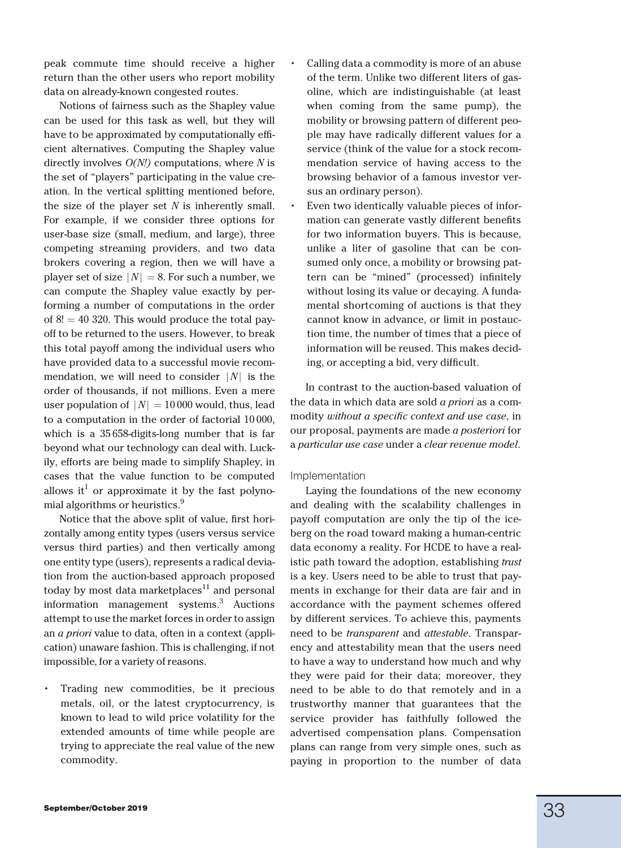peak commute time should receive a higher return than the other users who report mobility data on already-known congested routes.

Notions of fairness such as the Shapley value can be used for this task as well, but they will have to be approximated by computationally efficient alternatives. Computing the Shapley value directly involves  $O(N!)$  computations, where N is the set of "players" participating in the value creation. In the vertical splitting mentioned before, the size of the player set  $N$  is inherently small. For example, if we consider three options for user-base size (small, medium, and large), three competing streaming providers, and two data brokers covering a region, then we will have a player set of size  $|N| = 8$ . For such a number, we can compute the Shapley value exactly by performing a number of computations in the order of  $8! = 40$  320. This would produce the total payoff to be returned to the users. However, to break this total payoff among the individual users who have provided data to a successful movie recommendation, we will need to consider  $|N|$  is the order of thousands, if not millions. Even a mere user population of  $|N| = 10000$  would, thus, lead to a computation in the order of factorial 10 000, which is a 35 658-digits-long number that is far beyond what our technology can deal with. Luckily, efforts are being made to simplify Shapley, in cases that the value function to be computed allows it<sup>1</sup> or approximate it by the fast polynomial algorithms or heuristics.<sup>9</sup>

Notice that the above split of value, first horizontally among entity types (users versus service versus third parties) and then vertically among one entity type (users), represents a radical deviation from the auction-based approach proposed today by most data marketplaces<sup>11</sup> and personal information management systems.3 Auctions attempt to use the market forces in order to assign an a priori value to data, often in a context (application) unaware fashion. This is challenging, if not impossible, for a variety of reasons.

- Trading new commodities, be it precious metals, oil, or the latest cryptocurrency, is known to lead to wild price volatility for the extended amounts of time while people are trying to appreciate the real value of the new commodity.

- Calling data a commodity is more of an abuse of the term. Unlike two different liters of gasoline, which are indistinguishable (at least when coming from the same pump), the mobility or browsing pattern of different people may have radically different values for a service (think of the value for a stock recommendation service of having access to the browsing behavior of a famous investor versus an ordinary person).
- Even two identically valuable pieces of information can generate vastly different benefits for two information buyers. This is because, unlike a liter of gasoline that can be consumed only once, a mobility or browsing pattern can be "mined" (processed) infinitely without losing its value or decaying. A fundamental shortcoming of auctions is that they cannot know in advance, or limit in postauction time, the number of times that a piece of information will be reused. This makes deciding, or accepting a bid, very difficult.

In contrast to the auction-based valuation of the data in which data are sold a priori as a commodity without a specific context and use case, in our proposal, payments are made a posteriori for a particular use case under a clear revenue model.

### Implementation

-

-

Laying the foundations of the new economy and dealing with the scalability challenges in payoff computation are only the tip of the iceberg on the road toward making a human-centric data economy a reality. For HCDE to have a realistic path toward the adoption, establishing trust is a key. Users need to be able to trust that payments in exchange for their data are fair and in accordance with the payment schemes offered by different services. To achieve this, payments need to be transparent and attestable. Transparency and attestability mean that the users need to have a way to understand how much and why they were paid for their data; moreover, they need to be able to do that remotely and in a trustworthy manner that guarantees that the service provider has faithfully followed the advertised compensation plans. Compensation plans can range from very simple ones, such as paying in proportion to the number of data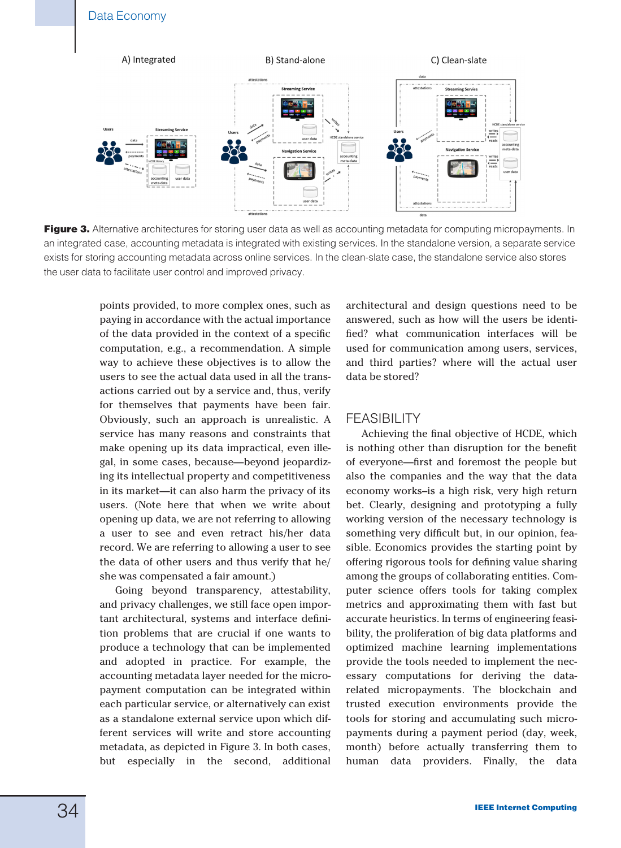

Figure 3. Alternative architectures for storing user data as well as accounting metadata for computing micropayments. In an integrated case, accounting metadata is integrated with existing services. In the standalone version, a separate service exists for storing accounting metadata across online services. In the clean-slate case, the standalone service also stores the user data to facilitate user control and improved privacy.

points provided, to more complex ones, such as paying in accordance with the actual importance of the data provided in the context of a specific computation, e.g., a recommendation. A simple way to achieve these objectives is to allow the users to see the actual data used in all the transactions carried out by a service and, thus, verify for themselves that payments have been fair. Obviously, such an approach is unrealistic. A service has many reasons and constraints that make opening up its data impractical, even illegal, in some cases, because—beyond jeopardizing its intellectual property and competitiveness in its market—it can also harm the privacy of its users. (Note here that when we write about opening up data, we are not referring to allowing a user to see and even retract his/her data record. We are referring to allowing a user to see the data of other users and thus verify that he/ she was compensated a fair amount.)

Going beyond transparency, attestability, and privacy challenges, we still face open important architectural, systems and interface definition problems that are crucial if one wants to produce a technology that can be implemented and adopted in practice. For example, the accounting metadata layer needed for the micropayment computation can be integrated within each particular service, or alternatively can exist as a standalone external service upon which different services will write and store accounting metadata, as depicted in Figure 3. In both cases, but especially in the second, additional

architectural and design questions need to be answered, such as how will the users be identified? what communication interfaces will be used for communication among users, services, and third parties? where will the actual user data be stored?

## **FEASIBILITY**

Achieving the final objective of HCDE, which is nothing other than disruption for the benefit of everyone—first and foremost the people but also the companies and the way that the data economy works–is a high risk, very high return bet. Clearly, designing and prototyping a fully working version of the necessary technology is something very difficult but, in our opinion, feasible. Economics provides the starting point by offering rigorous tools for defining value sharing among the groups of collaborating entities. Computer science offers tools for taking complex metrics and approximating them with fast but accurate heuristics. In terms of engineering feasibility, the proliferation of big data platforms and optimized machine learning implementations provide the tools needed to implement the necessary computations for deriving the datarelated micropayments. The blockchain and trusted execution environments provide the tools for storing and accumulating such micropayments during a payment period (day, week, month) before actually transferring them to human data providers. Finally, the data